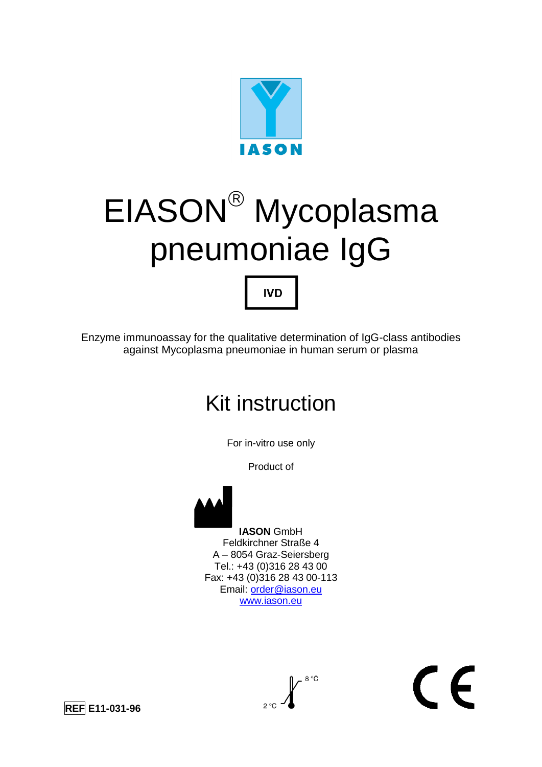

# EIASON<sup>®</sup> Mycoplasma pneumoniae IgG

Enzyme immunoassay for the qualitative determination of IgG-class antibodies against Mycoplasma pneumoniae in human serum or plasma

**IVD** 

## Kit instruction

For in-vitro use only

Product of



 **IASON** GmbH Feldkirchner Straße 4 A – 8054 Graz-Seiersberg Tel.: +43 (0)316 28 43 00 Fax: +43 (0)316 28 43 00-113 Email: [order@iason.eu](mailto:order@iason.eu) [www.iason.eu](http://www.iason.eu/)



 $\epsilon$ 

**REF E11-031-96**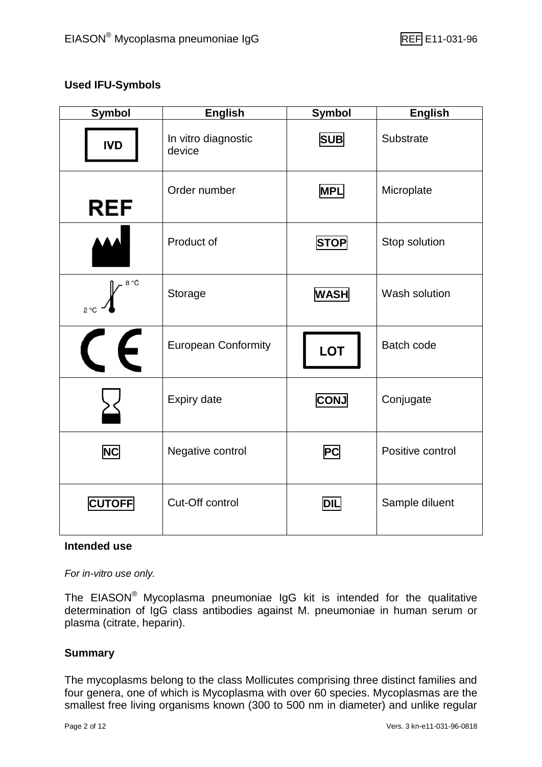#### **Used IFU-Symbols**

| <b>Symbol</b>        | <b>English</b>                | <b>Symbol</b> | <b>English</b>    |
|----------------------|-------------------------------|---------------|-------------------|
| <b>IVD</b>           | In vitro diagnostic<br>device | <b>SUB</b>    | Substrate         |
| <b>REF</b>           | Order number                  | <b>MPL</b>    | Microplate        |
|                      | Product of                    | <b>STOP</b>   | Stop solution     |
| 8 °C<br>$2^{\circ}C$ | Storage                       | <b>WASH</b>   | Wash solution     |
| $\epsilon$           | <b>European Conformity</b>    | <b>LOT</b>    | <b>Batch code</b> |
|                      | <b>Expiry date</b>            | <b>CONJ</b>   | Conjugate         |
| <b>NC</b>            | Negative control              | <b>PC</b>     | Positive control  |
| <b>CUTOFF</b>        | Cut-Off control               | <b>DIL</b>    | Sample diluent    |

#### **Intended use**

*For in-vitro use only.*

The EIASON® Mycoplasma pneumoniae IgG kit is intended for the qualitative determination of IgG class antibodies against M. pneumoniae in human serum or plasma (citrate, heparin).

#### **Summary**

The mycoplasms belong to the class Mollicutes comprising three distinct families and four genera, one of which is Mycoplasma with over 60 species. Mycoplasmas are the smallest free living organisms known (300 to 500 nm in diameter) and unlike regular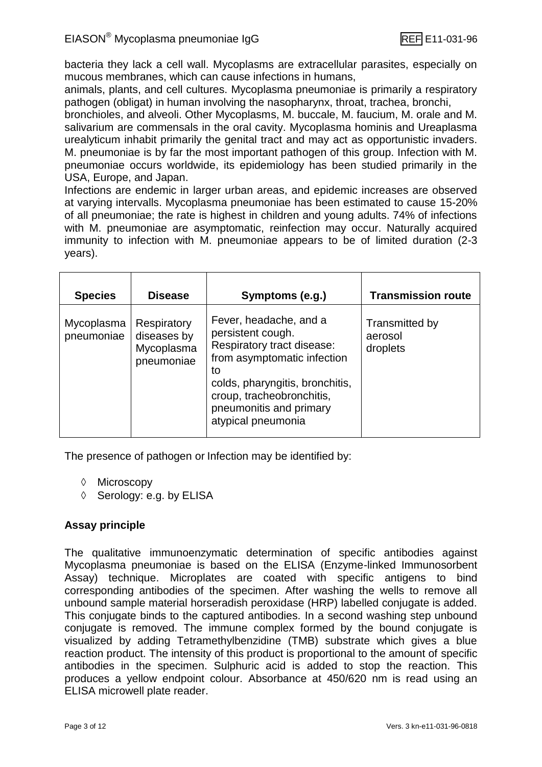bacteria they lack a cell wall. Mycoplasms are extracellular parasites, especially on mucous membranes, which can cause infections in humans,

animals, plants, and cell cultures. Mycoplasma pneumoniae is primarily a respiratory pathogen (obligat) in human involving the nasopharynx, throat, trachea, bronchi,

bronchioles, and alveoli. Other Mycoplasms, M. buccale, M. faucium, M. orale and M. salivarium are commensals in the oral cavity. Mycoplasma hominis and Ureaplasma urealyticum inhabit primarily the genital tract and may act as opportunistic invaders. M. pneumoniae is by far the most important pathogen of this group. Infection with M. pneumoniae occurs worldwide, its epidemiology has been studied primarily in the USA, Europe, and Japan.

Infections are endemic in larger urban areas, and epidemic increases are observed at varying intervalls. Mycoplasma pneumoniae has been estimated to cause 15-20% of all pneumoniae; the rate is highest in children and young adults. 74% of infections with M. pneumoniae are asymptomatic, reinfection may occur. Naturally acquired immunity to infection with M. pneumoniae appears to be of limited duration (2-3 years).

| <b>Species</b>           | <b>Disease</b>                                         | Symptoms (e.g.)                                                                                                                                                                                                                 | <b>Transmission route</b>             |
|--------------------------|--------------------------------------------------------|---------------------------------------------------------------------------------------------------------------------------------------------------------------------------------------------------------------------------------|---------------------------------------|
| Mycoplasma<br>pneumoniae | Respiratory<br>diseases by<br>Mycoplasma<br>pneumoniae | Fever, headache, and a<br>persistent cough.<br>Respiratory tract disease:<br>from asymptomatic infection<br>to<br>colds, pharyngitis, bronchitis,<br>croup, tracheobronchitis,<br>pneumonitis and primary<br>atypical pneumonia | Transmitted by<br>aerosol<br>droplets |

The presence of pathogen or Infection may be identified by:

- ♦ Microscopy
- $\Diamond$  Serology: e.g. by ELISA

#### **Assay principle**

The qualitative immunoenzymatic determination of specific antibodies against Mycoplasma pneumoniae is based on the ELISA (Enzyme-linked Immunosorbent Assay) technique. Microplates are coated with specific antigens to bind corresponding antibodies of the specimen. After washing the wells to remove all unbound sample material horseradish peroxidase (HRP) labelled conjugate is added. This conjugate binds to the captured antibodies. In a second washing step unbound conjugate is removed. The immune complex formed by the bound conjugate is visualized by adding Tetramethylbenzidine (TMB) substrate which gives a blue reaction product. The intensity of this product is proportional to the amount of specific antibodies in the specimen. Sulphuric acid is added to stop the reaction. This produces a yellow endpoint colour. Absorbance at 450/620 nm is read using an ELISA microwell plate reader.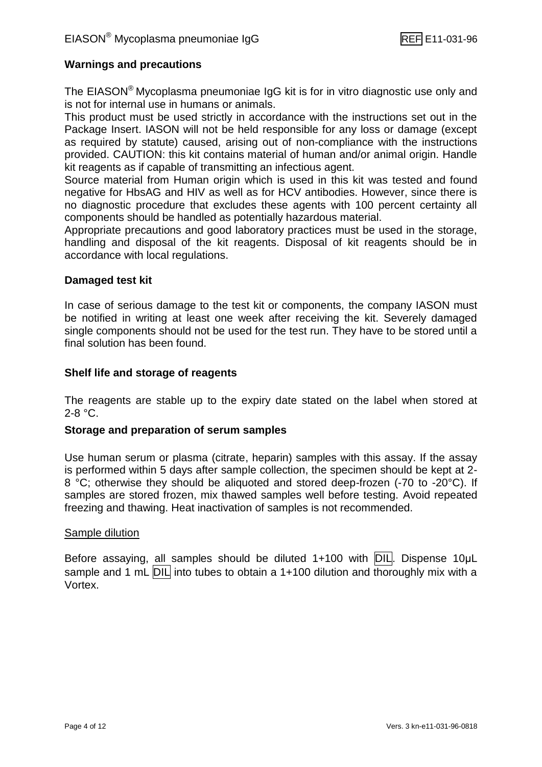#### **Warnings and precautions**

The EIASON® Mycoplasma pneumoniae IgG kit is for in vitro diagnostic use only and is not for internal use in humans or animals.

This product must be used strictly in accordance with the instructions set out in the Package Insert. IASON will not be held responsible for any loss or damage (except as required by statute) caused, arising out of non-compliance with the instructions provided. CAUTION: this kit contains material of human and/or animal origin. Handle kit reagents as if capable of transmitting an infectious agent.

Source material from Human origin which is used in this kit was tested and found negative for HbsAG and HIV as well as for HCV antibodies. However, since there is no diagnostic procedure that excludes these agents with 100 percent certainty all components should be handled as potentially hazardous material.

Appropriate precautions and good laboratory practices must be used in the storage, handling and disposal of the kit reagents. Disposal of kit reagents should be in accordance with local regulations.

#### **Damaged test kit**

In case of serious damage to the test kit or components, the company IASON must be notified in writing at least one week after receiving the kit. Severely damaged single components should not be used for the test run. They have to be stored until a final solution has been found.

#### **Shelf life and storage of reagents**

The reagents are stable up to the expiry date stated on the label when stored at 2-8 °C.

#### **Storage and preparation of serum samples**

Use human serum or plasma (citrate, heparin) samples with this assay. If the assay is performed within 5 days after sample collection, the specimen should be kept at 2- 8 °C; otherwise they should be aliquoted and stored deep-frozen (-70 to -20°C). If samples are stored frozen, mix thawed samples well before testing. Avoid repeated freezing and thawing. Heat inactivation of samples is not recommended.

#### Sample dilution

Before assaying, all samples should be diluted 1+100 with DIL. Dispense 10uL sample and 1 mL DIL into tubes to obtain a 1+100 dilution and thoroughly mix with a Vortex.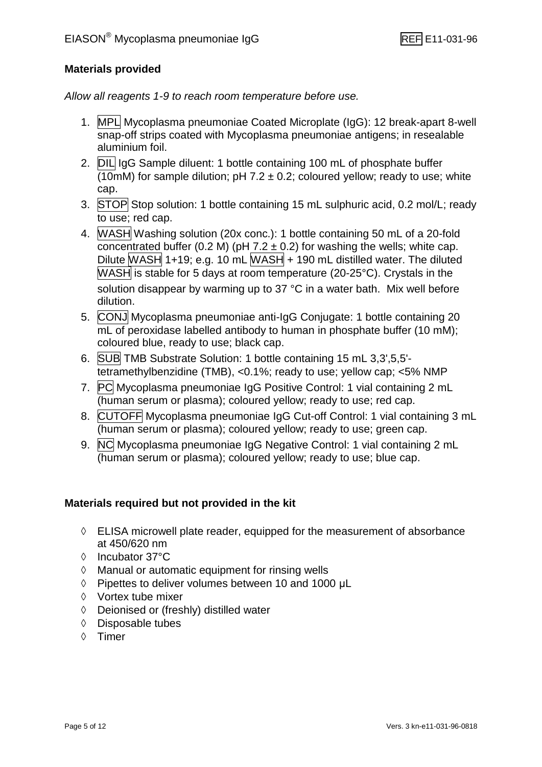#### **Materials provided**

*Allow all reagents 1-9 to reach room temperature before use.*

- 1. MPL Mycoplasma pneumoniae Coated Microplate (IgG): 12 break-apart 8-well snap-off strips coated with Mycoplasma pneumoniae antigens; in resealable aluminium foil.
- 2. DIL IgG Sample diluent: 1 bottle containing 100 mL of phosphate buffer  $(10m)$  for sample dilution; pH 7.2  $\pm$  0.2; coloured yellow; ready to use; white cap.
- 3. STOP Stop solution: 1 bottle containing 15 mL sulphuric acid, 0.2 mol/L; ready to use; red cap.
- 4. WASH Washing solution (20x conc.): 1 bottle containing 50 mL of a 20-fold concentrated buffer (0.2 M) (pH  $7.2 \pm 0.2$ ) for washing the wells; white cap. Dilute WASH 1+19; e.g. 10 mL WASH  $+$  190 mL distilled water. The diluted  $\overline{\text{WASH}}$  is stable for 5 days at room temperature (20-25°C). Crystals in the solution disappear by warming up to 37 °C in a water bath. Mix well before dilution.
- 5. CONJ Mycoplasma pneumoniae anti-IgG Conjugate: 1 bottle containing 20 mL of peroxidase labelled antibody to human in phosphate buffer (10 mM); coloured blue, ready to use; black cap.
- 6. SUB TMB Substrate Solution: 1 bottle containing 15 mL 3,3',5,5' tetramethylbenzidine (TMB), <0.1%; ready to use; yellow cap; <5% NMP
- 7. PC Mycoplasma pneumoniae IgG Positive Control: 1 vial containing 2 mL (human serum or plasma); coloured yellow; ready to use; red cap.
- 8. CUTOFF Mycoplasma pneumoniae IgG Cut-off Control: 1 vial containing 3 mL (human serum or plasma); coloured yellow; ready to use; green cap.
- 9. NC Mycoplasma pneumoniae IgG Negative Control: 1 vial containing 2 mL (human serum or plasma); coloured yellow; ready to use; blue cap.

#### **Materials required but not provided in the kit**

- $\Diamond$  ELISA microwell plate reader, equipped for the measurement of absorbance at 450/620 nm
- Incubator 37°C
- $\Diamond$  Manual or automatic equipment for rinsing wells
- $\Diamond$  Pipettes to deliver volumes between 10 and 1000 µL
- $\Diamond$  Vortex tube mixer
- Deionised or (freshly) distilled water
- $\Diamond$  Disposable tubes
- Timer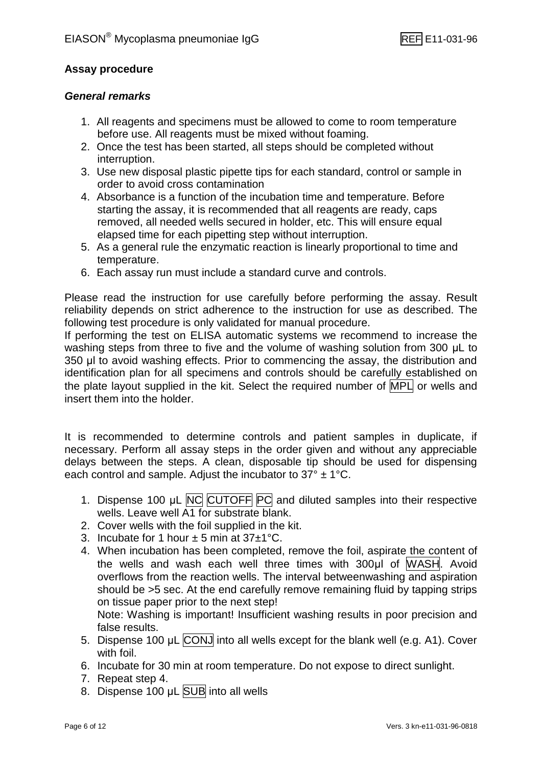#### **Assay procedure**

#### *General remarks*

- 1. All reagents and specimens must be allowed to come to room temperature before use. All reagents must be mixed without foaming.
- 2. Once the test has been started, all steps should be completed without interruption.
- 3. Use new disposal plastic pipette tips for each standard, control or sample in order to avoid cross contamination
- 4. Absorbance is a function of the incubation time and temperature. Before starting the assay, it is recommended that all reagents are ready, caps removed, all needed wells secured in holder, etc. This will ensure equal elapsed time for each pipetting step without interruption.
- 5. As a general rule the enzymatic reaction is linearly proportional to time and temperature.
- 6. Each assay run must include a standard curve and controls.

Please read the instruction for use carefully before performing the assay. Result reliability depends on strict adherence to the instruction for use as described. The following test procedure is only validated for manual procedure.

If performing the test on ELISA automatic systems we recommend to increase the washing steps from three to five and the volume of washing solution from 300 μL to 350 μl to avoid washing effects. Prior to commencing the assay, the distribution and identification plan for all specimens and controls should be carefully established on the plate layout supplied in the kit. Select the required number of MPL or wells and insert them into the holder.

It is recommended to determine controls and patient samples in duplicate, if necessary. Perform all assay steps in the order given and without any appreciable delays between the steps. A clean, disposable tip should be used for dispensing each control and sample. Adjust the incubator to  $37^{\circ} \pm 1^{\circ}$ C.

- 1. Dispense 100 μL NC CUTOFF PC and diluted samples into their respective wells. Leave well A1 for substrate blank.
- 2. Cover wells with the foil supplied in the kit.
- 3. Incubate for 1 hour  $\pm$  5 min at 37 $\pm$ 1°C.
- 4. When incubation has been completed, remove the foil, aspirate the content of the wells and wash each well three times with 300μl of WASH. Avoid overflows from the reaction wells. The interval betweenwashing and aspiration should be >5 sec. At the end carefully remove remaining fluid by tapping strips on tissue paper prior to the next step!

Note: Washing is important! Insufficient washing results in poor precision and false results.

- 5. Dispense 100 μL CONJ into all wells except for the blank well (e.g. A1). Cover with foil.
- 6. Incubate for 30 min at room temperature. Do not expose to direct sunlight.
- 7. Repeat step 4.
- 8. Dispense 100 μL SUB into all wells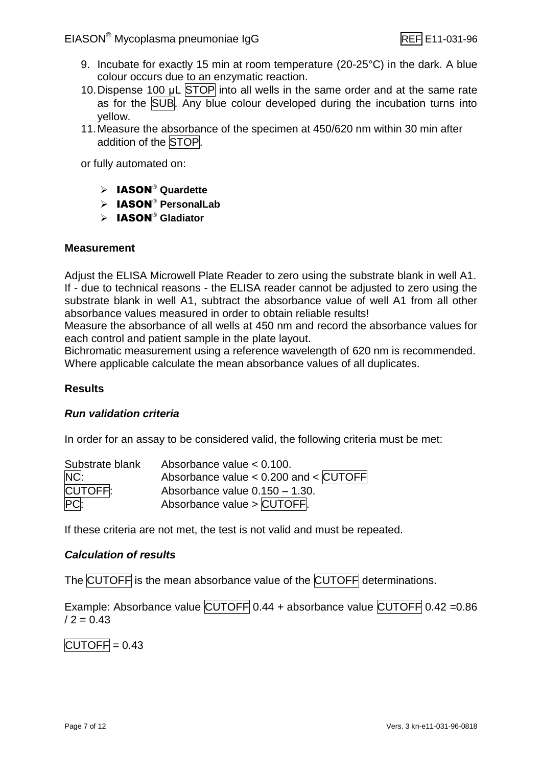- 9. Incubate for exactly 15 min at room temperature (20-25°C) in the dark. A blue colour occurs due to an enzymatic reaction.
- 10. Dispense 100 μL STOP into all wells in the same order and at the same rate as for the SUB. Any blue colour developed during the incubation turns into yellow.
- 11.Measure the absorbance of the specimen at 450/620 nm within 30 min after addition of the STOP.

or fully automated on:

- > IASON<sup>®</sup> Quardette
- $\triangleright$  **IASON**<sup>®</sup> PersonalLab
- > **IASON<sup>®</sup> Gladiator**

#### **Measurement**

Adjust the ELISA Microwell Plate Reader to zero using the substrate blank in well A1. If - due to technical reasons - the ELISA reader cannot be adjusted to zero using the substrate blank in well A1, subtract the absorbance value of well A1 from all other absorbance values measured in order to obtain reliable results!

Measure the absorbance of all wells at 450 nm and record the absorbance values for each control and patient sample in the plate layout.

Bichromatic measurement using a reference wavelength of 620 nm is recommended. Where applicable calculate the mean absorbance values of all duplicates.

#### **Results**

#### *Run validation criteria*

In order for an assay to be considered valid, the following criteria must be met:

| Substrate blank | Absorbance value $< 0.100$ .            |
|-----------------|-----------------------------------------|
| NC:             | Absorbance value < $0.200$ and < CUTOFF |
| CUTOFF.         | Absorbance value $0.150 - 1.30$ .       |
| PC <sub>i</sub> | Absorbance value > CUTOFF.              |

If these criteria are not met, the test is not valid and must be repeated.

#### *Calculation of results*

The CUTOFF is the mean absorbance value of the CUTOFF determinations.

Example: Absorbance value CUTOFF 0.44 + absorbance value CUTOFF 0.42 = 0.86  $/ 2 = 0.43$ 

 $\overline{CUTOFF} = 0.43$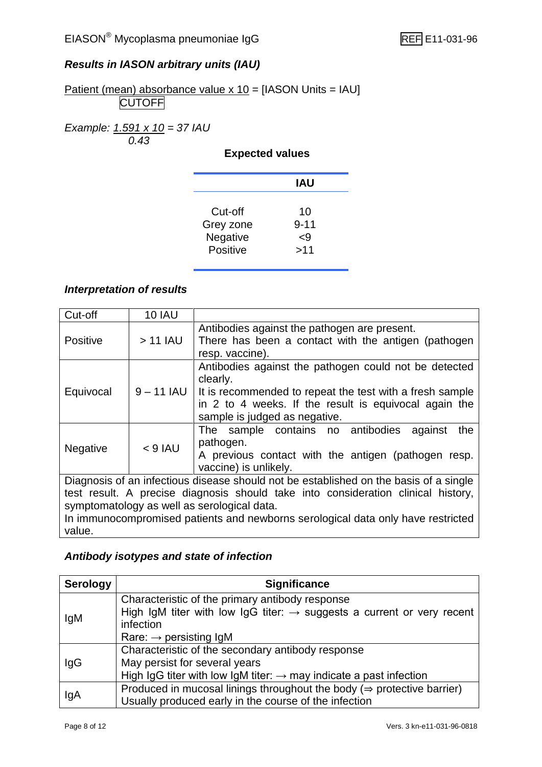#### *Results in IASON arbitrary units (IAU)*

Patient (mean) absorbance value x 10 = [IASON Units = IAU] **CUTOFF** 

*Example: 1.591 x 10 = 37 IAU 0.43*

#### **Expected values**

|                                              | IAU                         |  |
|----------------------------------------------|-----------------------------|--|
| Cut-off<br>Grey zone<br>Negative<br>Positive | 10<br>$9 - 11$<br>-9<br>>11 |  |

#### *Interpretation of results*

| Cut-off                                                                               | <b>10 IAU</b> |                                                                                                                                                                                                                         |  |
|---------------------------------------------------------------------------------------|---------------|-------------------------------------------------------------------------------------------------------------------------------------------------------------------------------------------------------------------------|--|
| <b>Positive</b>                                                                       | $>11$ IAU     | Antibodies against the pathogen are present.<br>There has been a contact with the antigen (pathogen<br>resp. vaccine).                                                                                                  |  |
| Equivocal                                                                             | $9 - 11$ IAU  | Antibodies against the pathogen could not be detected<br>clearly.<br>It is recommended to repeat the test with a fresh sample<br>in 2 to 4 weeks. If the result is equivocal again the<br>sample is judged as negative. |  |
| <b>Negative</b>                                                                       | $< 9$ IAU     | The sample contains no antibodies<br>the<br>against<br>pathogen.<br>A previous contact with the antigen (pathogen resp.<br>vaccine) is unlikely.                                                                        |  |
| Diagnosis of an infectious disease should not be established on the basis of a single |               |                                                                                                                                                                                                                         |  |
|                                                                                       |               | test result. A precise diagnosis should take into consideration clinical history,                                                                                                                                       |  |
| symptomatology as well as serological data.                                           |               |                                                                                                                                                                                                                         |  |
| In immunocompromised patients and newborns serological data only have restricted      |               |                                                                                                                                                                                                                         |  |
| value.                                                                                |               |                                                                                                                                                                                                                         |  |

#### *Antibody isotypes and state of infection*

| <b>Serology</b> | <b>Significance</b>                                                                 |
|-----------------|-------------------------------------------------------------------------------------|
| lgM             | Characteristic of the primary antibody response                                     |
|                 | High IgM titer with low IgG titer: $\rightarrow$ suggests a current or very recent  |
|                 | infection                                                                           |
|                 | Rare: $\rightarrow$ persisting IgM                                                  |
|                 | Characteristic of the secondary antibody response                                   |
| lgG             | May persist for several years                                                       |
|                 | High IgG titer with low IgM titer: $\rightarrow$ may indicate a past infection      |
| lgA             | Produced in mucosal linings throughout the body ( $\Rightarrow$ protective barrier) |
|                 | Usually produced early in the course of the infection                               |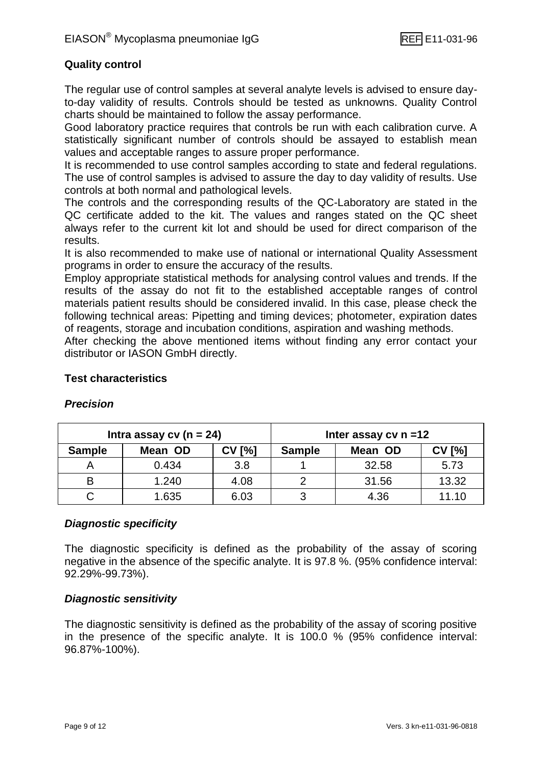#### **Quality control**

The regular use of control samples at several analyte levels is advised to ensure dayto-day validity of results. Controls should be tested as unknowns. Quality Control charts should be maintained to follow the assay performance.

Good laboratory practice requires that controls be run with each calibration curve. A statistically significant number of controls should be assayed to establish mean values and acceptable ranges to assure proper performance.

It is recommended to use control samples according to state and federal regulations. The use of control samples is advised to assure the day to day validity of results. Use controls at both normal and pathological levels.

The controls and the corresponding results of the QC-Laboratory are stated in the QC certificate added to the kit. The values and ranges stated on the QC sheet always refer to the current kit lot and should be used for direct comparison of the results.

It is also recommended to make use of national or international Quality Assessment programs in order to ensure the accuracy of the results.

Employ appropriate statistical methods for analysing control values and trends. If the results of the assay do not fit to the established acceptable ranges of control materials patient results should be considered invalid. In this case, please check the following technical areas: Pipetting and timing devices; photometer, expiration dates of reagents, storage and incubation conditions, aspiration and washing methods.

After checking the above mentioned items without finding any error contact your distributor or IASON GmbH directly.

#### **Test characteristics**

| Intra assay $cv(n = 24)$ |         |               |               | Inter assay $cv$ n =12 |               |
|--------------------------|---------|---------------|---------------|------------------------|---------------|
| <b>Sample</b>            | Mean OD | <b>CV [%]</b> | <b>Sample</b> | Mean OD                | <b>CV [%]</b> |
|                          | 0.434   | 3.8           |               | 32.58                  | 5.73          |
|                          | 1.240   | 4.08          |               | 31.56                  | 13.32         |
|                          | 1.635   | 6.03          |               | 4.36                   | 11.10         |

#### *Precision*

#### *Diagnostic specificity*

The diagnostic specificity is defined as the probability of the assay of scoring negative in the absence of the specific analyte. It is 97.8 %. (95% confidence interval: 92.29%-99.73%).

#### *Diagnostic sensitivity*

The diagnostic sensitivity is defined as the probability of the assay of scoring positive in the presence of the specific analyte. It is 100.0 % (95% confidence interval: 96.87%-100%).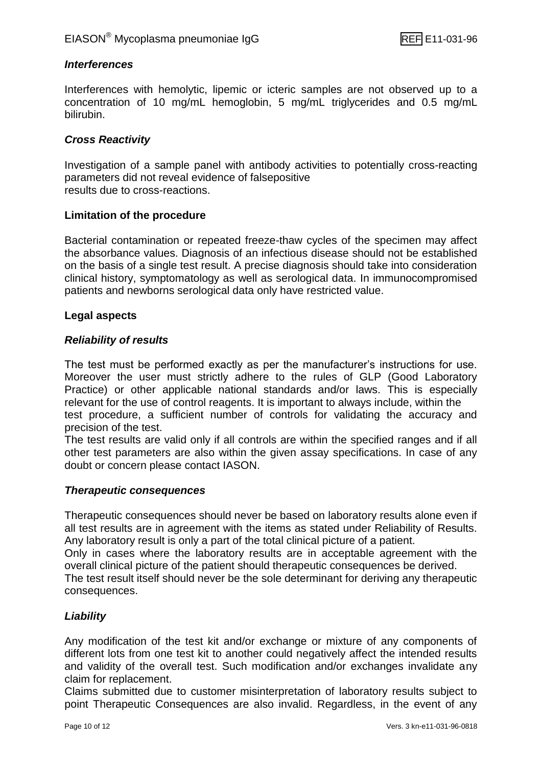#### *Interferences*

Interferences with hemolytic, lipemic or icteric samples are not observed up to a concentration of 10 mg/mL hemoglobin, 5 mg/mL triglycerides and 0.5 mg/mL bilirubin.

#### *Cross Reactivity*

Investigation of a sample panel with antibody activities to potentially cross-reacting parameters did not reveal evidence of falsepositive results due to cross-reactions.

#### **Limitation of the procedure**

Bacterial contamination or repeated freeze-thaw cycles of the specimen may affect the absorbance values. Diagnosis of an infectious disease should not be established on the basis of a single test result. A precise diagnosis should take into consideration clinical history, symptomatology as well as serological data. In immunocompromised patients and newborns serological data only have restricted value.

#### **Legal aspects**

#### *Reliability of results*

The test must be performed exactly as per the manufacturer's instructions for use. Moreover the user must strictly adhere to the rules of GLP (Good Laboratory Practice) or other applicable national standards and/or laws. This is especially relevant for the use of control reagents. It is important to always include, within the test procedure, a sufficient number of controls for validating the accuracy and precision of the test.

The test results are valid only if all controls are within the specified ranges and if all other test parameters are also within the given assay specifications. In case of any doubt or concern please contact IASON.

#### *Therapeutic consequences*

Therapeutic consequences should never be based on laboratory results alone even if all test results are in agreement with the items as stated under Reliability of Results. Any laboratory result is only a part of the total clinical picture of a patient.

Only in cases where the laboratory results are in acceptable agreement with the overall clinical picture of the patient should therapeutic consequences be derived.

The test result itself should never be the sole determinant for deriving any therapeutic consequences.

#### *Liability*

Any modification of the test kit and/or exchange or mixture of any components of different lots from one test kit to another could negatively affect the intended results and validity of the overall test. Such modification and/or exchanges invalidate any claim for replacement.

Claims submitted due to customer misinterpretation of laboratory results subject to point Therapeutic Consequences are also invalid. Regardless, in the event of any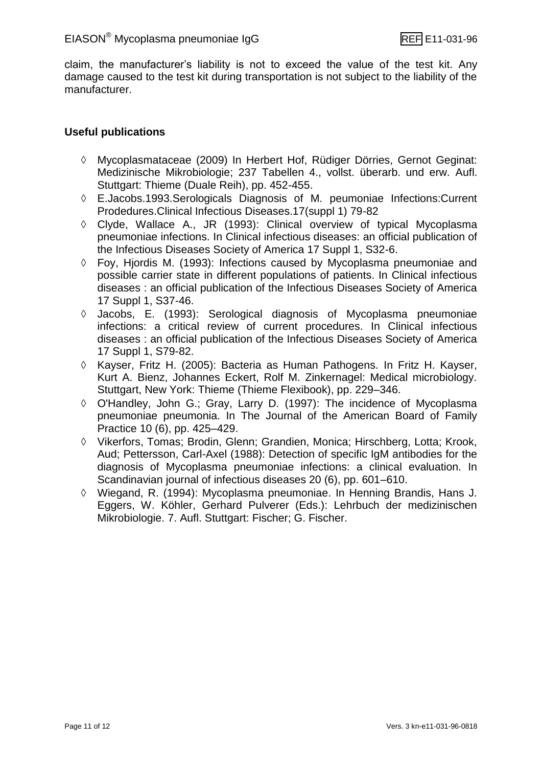claim, the manufacturer's liability is not to exceed the value of the test kit. Any damage caused to the test kit during transportation is not subject to the liability of the manufacturer.

#### **Useful publications**

- Mycoplasmataceae (2009) In Herbert Hof, Rüdiger Dörries, Gernot Geginat: Medizinische Mikrobiologie; 237 Tabellen 4., vollst. überarb. und erw. Aufl. Stuttgart: Thieme (Duale Reih), pp. 452-455.
- E.Jacobs.1993.Serologicals Diagnosis of M. peumoniae Infections:Current Prodedures.Clinical Infectious Diseases.17(suppl 1) 79-82
- $\Diamond$  Clyde, Wallace A., JR (1993): Clinical overview of typical Mycoplasma pneumoniae infections. In Clinical infectious diseases: an official publication of the Infectious Diseases Society of America 17 Suppl 1, S32-6.
- $\Diamond$  Fov, Hiordis M. (1993): Infections caused by Mycoplasma pneumoniae and possible carrier state in different populations of patients. In Clinical infectious diseases : an official publication of the Infectious Diseases Society of America 17 Suppl 1, S37-46.
- Jacobs, E. (1993): Serological diagnosis of Mycoplasma pneumoniae infections: a critical review of current procedures. In Clinical infectious diseases : an official publication of the Infectious Diseases Society of America 17 Suppl 1, S79-82.
- Kayser, Fritz H. (2005): Bacteria as Human Pathogens. In Fritz H. Kayser, Kurt A. Bienz, Johannes Eckert, Rolf M. Zinkernagel: Medical microbiology. Stuttgart, New York: Thieme (Thieme Flexibook), pp. 229–346.
- O'Handley, John G.; Gray, Larry D. (1997): The incidence of Mycoplasma pneumoniae pneumonia. In The Journal of the American Board of Family Practice 10 (6), pp. 425–429.
- Vikerfors, Tomas; Brodin, Glenn; Grandien, Monica; Hirschberg, Lotta; Krook, Aud; Pettersson, Carl-Axel (1988): Detection of specific IgM antibodies for the diagnosis of Mycoplasma pneumoniae infections: a clinical evaluation. In Scandinavian journal of infectious diseases 20 (6), pp. 601–610.
- Wiegand, R. (1994): Mycoplasma pneumoniae. In Henning Brandis, Hans J. Eggers, W. Köhler, Gerhard Pulverer (Eds.): Lehrbuch der medizinischen Mikrobiologie. 7. Aufl. Stuttgart: Fischer; G. Fischer.